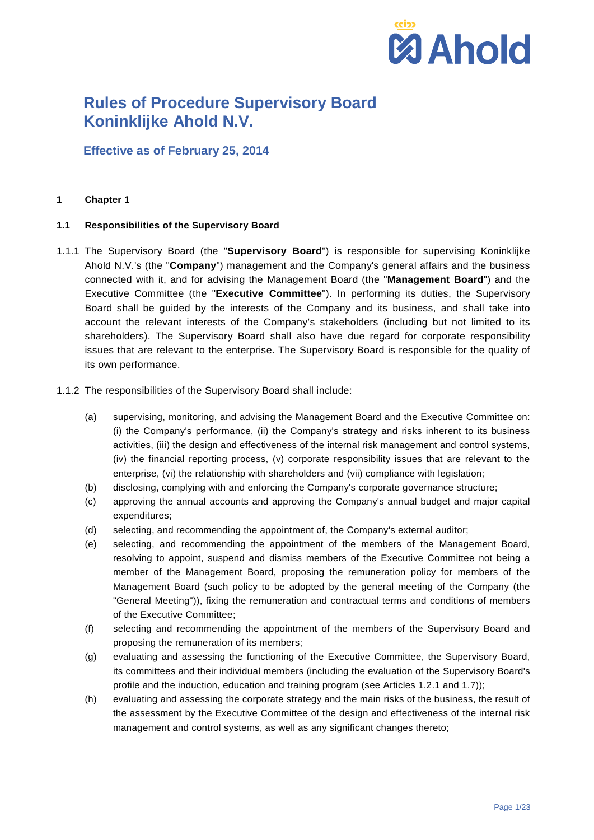

**Effective as of February 25, 2014**

### **1 Chapter 1**

### **1.1 Responsibilities of the Supervisory Board**

- 1.1.1 The Supervisory Board (the "**Supervisory Board**") is responsible for supervising Koninklijke Ahold N.V.'s (the "**Company**") management and the Company's general affairs and the business connected with it, and for advising the Management Board (the "**Management Board**") and the Executive Committee (the "**Executive Committee**"). In performing its duties, the Supervisory Board shall be guided by the interests of the Company and its business, and shall take into account the relevant interests of the Company's stakeholders (including but not limited to its shareholders). The Supervisory Board shall also have due regard for corporate responsibility issues that are relevant to the enterprise. The Supervisory Board is responsible for the quality of its own performance.
- 1.1.2 The responsibilities of the Supervisory Board shall include:
	- (a) supervising, monitoring, and advising the Management Board and the Executive Committee on: (i) the Company's performance, (ii) the Company's strategy and risks inherent to its business activities, (iii) the design and effectiveness of the internal risk management and control systems, (iv) the financial reporting process, (v) corporate responsibility issues that are relevant to the enterprise, (vi) the relationship with shareholders and (vii) compliance with legislation;
	- (b) disclosing, complying with and enforcing the Company's corporate governance structure;
	- (c) approving the annual accounts and approving the Company's annual budget and major capital expenditures;
	- (d) selecting, and recommending the appointment of, the Company's external auditor;
	- (e) selecting, and recommending the appointment of the members of the Management Board, resolving to appoint, suspend and dismiss members of the Executive Committee not being a member of the Management Board, proposing the remuneration policy for members of the Management Board (such policy to be adopted by the general meeting of the Company (the "General Meeting")), fixing the remuneration and contractual terms and conditions of members of the Executive Committee;
	- (f) selecting and recommending the appointment of the members of the Supervisory Board and proposing the remuneration of its members;
	- (g) evaluating and assessing the functioning of the Executive Committee, the Supervisory Board, its committees and their individual members (including the evaluation of the Supervisory Board's profile and the induction, education and training program (see Articles [1.2.1](#page-1-0) and [1.7\)](#page-4-0));
	- (h) evaluating and assessing the corporate strategy and the main risks of the business, the result of the assessment by the Executive Committee of the design and effectiveness of the internal risk management and control systems, as well as any significant changes thereto;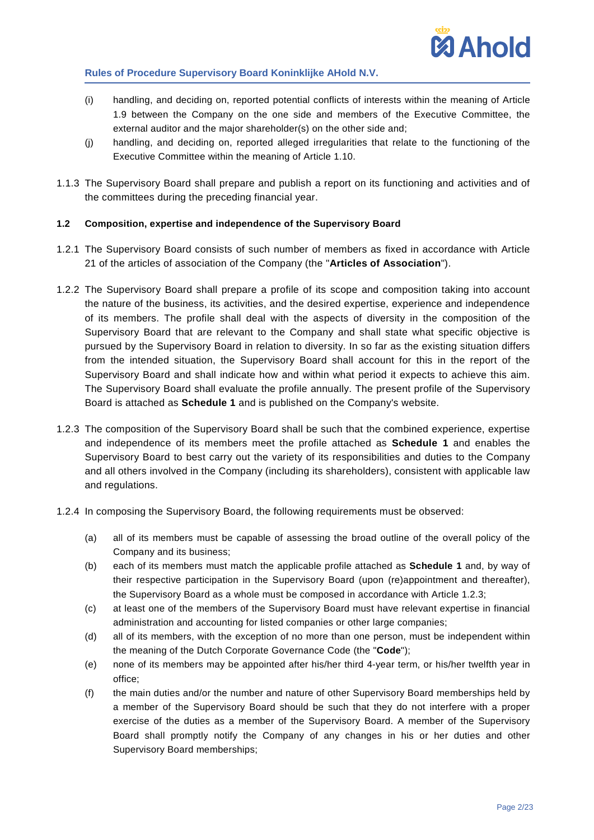

- (i) handling, and deciding on, reported potential conflicts of interests within the meaning of Article [1.9](#page-6-0) between the Company on the one side and members of the Executive Committee, the external auditor and the major shareholder(s) on the other side and;
- (j) handling, and deciding on, reported alleged irregularities that relate to the functioning of the Executive Committee within the meaning of Article [1.10.](#page-7-0)
- 1.1.3 The Supervisory Board shall prepare and publish a report on its functioning and activities and of the committees during the preceding financial year.

### **1.2 Composition, expertise and independence of the Supervisory Board**

- <span id="page-1-0"></span>1.2.1 The Supervisory Board consists of such number of members as fixed in accordance with Article 21 of the articles of association of the Company (the "**Articles of Association**").
- 1.2.2 The Supervisory Board shall prepare a profile of its scope and composition taking into account the nature of the business, its activities, and the desired expertise, experience and independence of its members. The profile shall deal with the aspects of diversity in the composition of the Supervisory Board that are relevant to the Company and shall state what specific objective is pursued by the Supervisory Board in relation to diversity. In so far as the existing situation differs from the intended situation, the Supervisory Board shall account for this in the report of the Supervisory Board and shall indicate how and within what period it expects to achieve this aim. The Supervisory Board shall evaluate the profile annually. The present profile of the Supervisory Board is attached as **[Schedule 1](#page-21-0)** and is published on the Company's website.
- <span id="page-1-1"></span>1.2.3 The composition of the Supervisory Board shall be such that the combined experience, expertise and independence of its members meet the profile attached as **[Schedule 1](#page-21-0)** and enables the Supervisory Board to best carry out the variety of its responsibilities and duties to the Company and all others involved in the Company (including its shareholders), consistent with applicable law and regulations.
- <span id="page-1-2"></span>1.2.4 In composing the Supervisory Board, the following requirements must be observed:
	- (a) all of its members must be capable of assessing the broad outline of the overall policy of the Company and its business;
	- (b) each of its members must match the applicable profile attached as **[Schedule 1](#page-21-0)** and, by way of their respective participation in the Supervisory Board (upon (re)appointment and thereafter), the Supervisory Board as a whole must be composed in accordance with Article [1.2.3;](#page-1-1)
	- (c) at least one of the members of the Supervisory Board must have relevant expertise in financial administration and accounting for listed companies or other large companies;
	- (d) all of its members, with the exception of no more than one person, must be independent within the meaning of the Dutch Corporate Governance Code (the "**Code**");
	- (e) none of its members may be appointed after his/her third 4-year term, or his/her twelfth year in office;
	- (f) the main duties and/or the number and nature of other Supervisory Board memberships held by a member of the Supervisory Board should be such that they do not interfere with a proper exercise of the duties as a member of the Supervisory Board. A member of the Supervisory Board shall promptly notify the Company of any changes in his or her duties and other Supervisory Board memberships;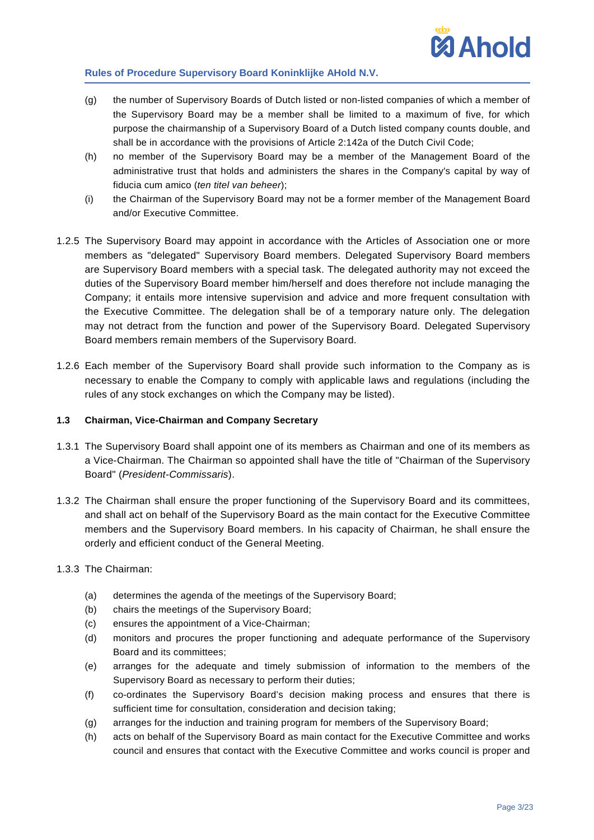

- (g) the number of Supervisory Boards of Dutch listed or non-listed companies of which a member of the Supervisory Board may be a member shall be limited to a maximum of five, for which purpose the chairmanship of a Supervisory Board of a Dutch listed company counts double, and shall be in accordance with the provisions of Article 2:142a of the Dutch Civil Code;
- (h) no member of the Supervisory Board may be a member of the Management Board of the administrative trust that holds and administers the shares in the Company's capital by way of fiducia cum amico (*ten titel van beheer*);
- (i) the Chairman of the Supervisory Board may not be a former member of the Management Board and/or Executive Committee.
- 1.2.5 The Supervisory Board may appoint in accordance with the Articles of Association one or more members as "delegated" Supervisory Board members. Delegated Supervisory Board members are Supervisory Board members with a special task. The delegated authority may not exceed the duties of the Supervisory Board member him/herself and does therefore not include managing the Company; it entails more intensive supervision and advice and more frequent consultation with the Executive Committee. The delegation shall be of a temporary nature only. The delegation may not detract from the function and power of the Supervisory Board. Delegated Supervisory Board members remain members of the Supervisory Board.
- 1.2.6 Each member of the Supervisory Board shall provide such information to the Company as is necessary to enable the Company to comply with applicable laws and regulations (including the rules of any stock exchanges on which the Company may be listed).

# **1.3 Chairman, Vice-Chairman and Company Secretary**

- 1.3.1 The Supervisory Board shall appoint one of its members as Chairman and one of its members as a Vice-Chairman. The Chairman so appointed shall have the title of "Chairman of the Supervisory Board" (*President-Commissaris*).
- 1.3.2 The Chairman shall ensure the proper functioning of the Supervisory Board and its committees, and shall act on behalf of the Supervisory Board as the main contact for the Executive Committee members and the Supervisory Board members. In his capacity of Chairman, he shall ensure the orderly and efficient conduct of the General Meeting.
- 1.3.3 The Chairman:
	- (a) determines the agenda of the meetings of the Supervisory Board;
	- (b) chairs the meetings of the Supervisory Board;
	- (c) ensures the appointment of a Vice-Chairman;
	- (d) monitors and procures the proper functioning and adequate performance of the Supervisory Board and its committees;
	- (e) arranges for the adequate and timely submission of information to the members of the Supervisory Board as necessary to perform their duties;
	- (f) co-ordinates the Supervisory Board's decision making process and ensures that there is sufficient time for consultation, consideration and decision taking;
	- (g) arranges for the induction and training program for members of the Supervisory Board;
	- (h) acts on behalf of the Supervisory Board as main contact for the Executive Committee and works council and ensures that contact with the Executive Committee and works council is proper and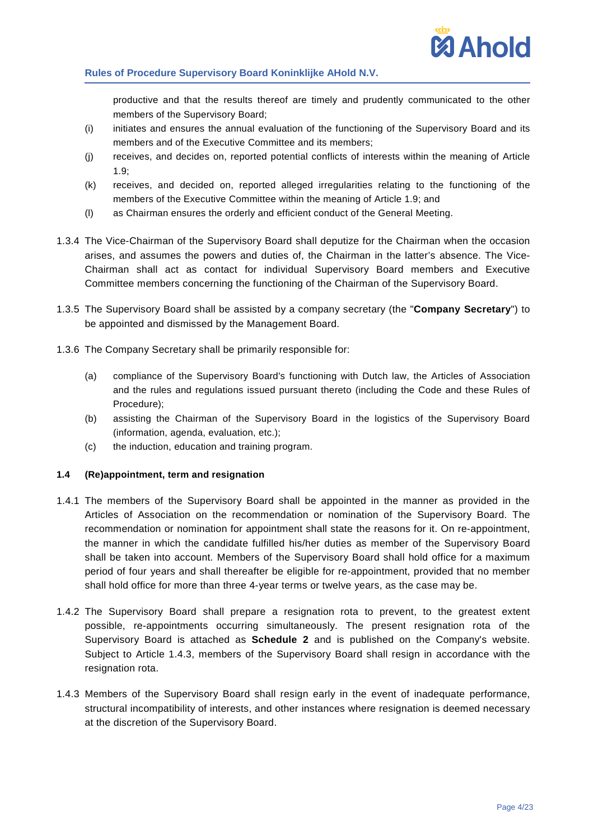

productive and that the results thereof are timely and prudently communicated to the other members of the Supervisory Board;

- (i) initiates and ensures the annual evaluation of the functioning of the Supervisory Board and its members and of the Executive Committee and its members;
- (j) receives, and decides on, reported potential conflicts of interests within the meaning of Article [1.9;](#page-6-0)
- (k) receives, and decided on, reported alleged irregularities relating to the functioning of the members of the Executive Committee within the meaning of Article [1.9;](#page-6-0) and
- (l) as Chairman ensures the orderly and efficient conduct of the General Meeting.
- 1.3.4 The Vice-Chairman of the Supervisory Board shall deputize for the Chairman when the occasion arises, and assumes the powers and duties of, the Chairman in the latter's absence. The Vice-Chairman shall act as contact for individual Supervisory Board members and Executive Committee members concerning the functioning of the Chairman of the Supervisory Board.
- 1.3.5 The Supervisory Board shall be assisted by a company secretary (the "**Company Secretary**") to be appointed and dismissed by the Management Board.
- 1.3.6 The Company Secretary shall be primarily responsible for:
	- (a) compliance of the Supervisory Board's functioning with Dutch law, the Articles of Association and the rules and regulations issued pursuant thereto (including the Code and these Rules of Procedure);
	- (b) assisting the Chairman of the Supervisory Board in the logistics of the Supervisory Board (information, agenda, evaluation, etc.);
	- (c) the induction, education and training program.

# **1.4 (Re)appointment, term and resignation**

- 1.4.1 The members of the Supervisory Board shall be appointed in the manner as provided in the Articles of Association on the recommendation or nomination of the Supervisory Board. The recommendation or nomination for appointment shall state the reasons for it. On re-appointment, the manner in which the candidate fulfilled his/her duties as member of the Supervisory Board shall be taken into account. Members of the Supervisory Board shall hold office for a maximum period of four years and shall thereafter be eligible for re-appointment, provided that no member shall hold office for more than three 4-year terms or twelve years, as the case may be.
- 1.4.2 The Supervisory Board shall prepare a resignation rota to prevent, to the greatest extent possible, re-appointments occurring simultaneously. The present resignation rota of the Supervisory Board is attached as **Schedule 2** and is published on the Company's website. Subject to Article [1.4.3,](#page-3-0) members of the Supervisory Board shall resign in accordance with the resignation rota.
- <span id="page-3-0"></span>1.4.3 Members of the Supervisory Board shall resign early in the event of inadequate performance, structural incompatibility of interests, and other instances where resignation is deemed necessary at the discretion of the Supervisory Board.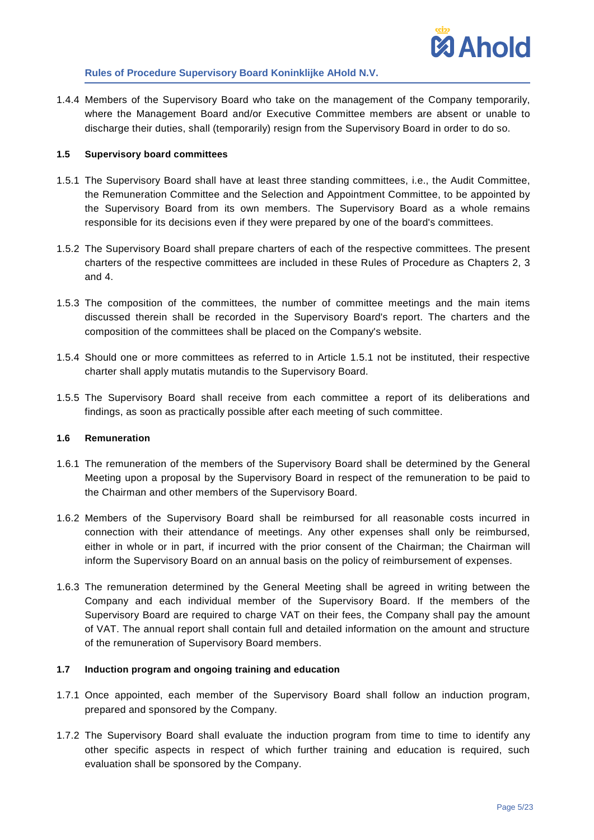1.4.4 Members of the Supervisory Board who take on the management of the Company temporarily, where the Management Board and/or Executive Committee members are absent or unable to discharge their duties, shall (temporarily) resign from the Supervisory Board in order to do so.

# **1.5 Supervisory board committees**

- <span id="page-4-1"></span>1.5.1 The Supervisory Board shall have at least three standing committees, i.e., the Audit Committee, the Remuneration Committee and the Selection and Appointment Committee, to be appointed by the Supervisory Board from its own members. The Supervisory Board as a whole remains responsible for its decisions even if they were prepared by one of the board's committees.
- 1.5.2 The Supervisory Board shall prepare charters of each of the respective committees. The present charters of the respective committees are included in these Rules of Procedure as Chapters [2,](#page-10-0) [3](#page-16-0) and [4.](#page-18-0)
- 1.5.3 The composition of the committees, the number of committee meetings and the main items discussed therein shall be recorded in the Supervisory Board's report. The charters and the composition of the committees shall be placed on the Company's website.
- 1.5.4 Should one or more committees as referred to in Article [1.5.1](#page-4-1) not be instituted, their respective charter shall apply mutatis mutandis to the Supervisory Board.
- 1.5.5 The Supervisory Board shall receive from each committee a report of its deliberations and findings, as soon as practically possible after each meeting of such committee.

### **1.6 Remuneration**

- 1.6.1 The remuneration of the members of the Supervisory Board shall be determined by the General Meeting upon a proposal by the Supervisory Board in respect of the remuneration to be paid to the Chairman and other members of the Supervisory Board.
- 1.6.2 Members of the Supervisory Board shall be reimbursed for all reasonable costs incurred in connection with their attendance of meetings. Any other expenses shall only be reimbursed, either in whole or in part, if incurred with the prior consent of the Chairman; the Chairman will inform the Supervisory Board on an annual basis on the policy of reimbursement of expenses.
- 1.6.3 The remuneration determined by the General Meeting shall be agreed in writing between the Company and each individual member of the Supervisory Board. If the members of the Supervisory Board are required to charge VAT on their fees, the Company shall pay the amount of VAT. The annual report shall contain full and detailed information on the amount and structure of the remuneration of Supervisory Board members.

### <span id="page-4-0"></span>**1.7 Induction program and ongoing training and education**

- 1.7.1 Once appointed, each member of the Supervisory Board shall follow an induction program, prepared and sponsored by the Company.
- 1.7.2 The Supervisory Board shall evaluate the induction program from time to time to identify any other specific aspects in respect of which further training and education is required, such evaluation shall be sponsored by the Company.

**MAhold**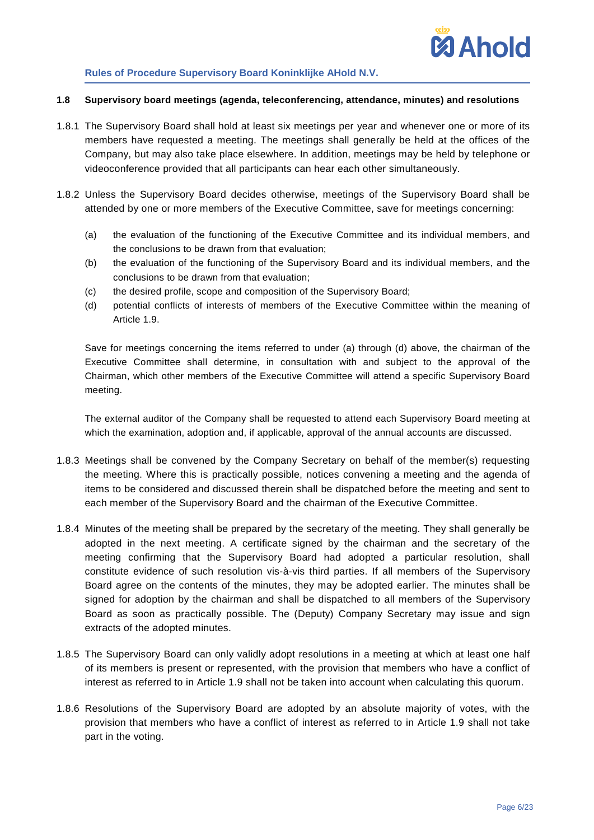

#### **1.8 Supervisory board meetings (agenda, teleconferencing, attendance, minutes) and resolutions**

- 1.8.1 The Supervisory Board shall hold at least six meetings per year and whenever one or more of its members have requested a meeting. The meetings shall generally be held at the offices of the Company, but may also take place elsewhere. In addition, meetings may be held by telephone or videoconference provided that all participants can hear each other simultaneously.
- <span id="page-5-2"></span><span id="page-5-0"></span>1.8.2 Unless the Supervisory Board decides otherwise, meetings of the Supervisory Board shall be attended by one or more members of the Executive Committee, save for meetings concerning:
	- (a) the evaluation of the functioning of the Executive Committee and its individual members, and the conclusions to be drawn from that evaluation;
	- (b) the evaluation of the functioning of the Supervisory Board and its individual members, and the conclusions to be drawn from that evaluation;
	- (c) the desired profile, scope and composition of the Supervisory Board;
	- (d) potential conflicts of interests of members of the Executive Committee within the meaning of Article [1.9.](#page-6-0)

<span id="page-5-1"></span>Save for meetings concerning the items referred to under [\(a\)](#page-5-0) through [\(d\)](#page-5-1) above, the chairman of the Executive Committee shall determine, in consultation with and subject to the approval of the Chairman, which other members of the Executive Committee will attend a specific Supervisory Board meeting.

The external auditor of the Company shall be requested to attend each Supervisory Board meeting at which the examination, adoption and, if applicable, approval of the annual accounts are discussed.

- 1.8.3 Meetings shall be convened by the Company Secretary on behalf of the member(s) requesting the meeting. Where this is practically possible, notices convening a meeting and the agenda of items to be considered and discussed therein shall be dispatched before the meeting and sent to each member of the Supervisory Board and the chairman of the Executive Committee.
- 1.8.4 Minutes of the meeting shall be prepared by the secretary of the meeting. They shall generally be adopted in the next meeting. A certificate signed by the chairman and the secretary of the meeting confirming that the Supervisory Board had adopted a particular resolution, shall constitute evidence of such resolution vis-à-vis third parties. If all members of the Supervisory Board agree on the contents of the minutes, they may be adopted earlier. The minutes shall be signed for adoption by the chairman and shall be dispatched to all members of the Supervisory Board as soon as practically possible. The (Deputy) Company Secretary may issue and sign extracts of the adopted minutes.
- 1.8.5 The Supervisory Board can only validly adopt resolutions in a meeting at which at least one half of its members is present or represented, with the provision that members who have a conflict of interest as referred to in Article [1.9](#page-6-0) shall not be taken into account when calculating this quorum.
- 1.8.6 Resolutions of the Supervisory Board are adopted by an absolute majority of votes, with the provision that members who have a conflict of interest as referred to in Article [1.9](#page-6-0) shall not take part in the voting.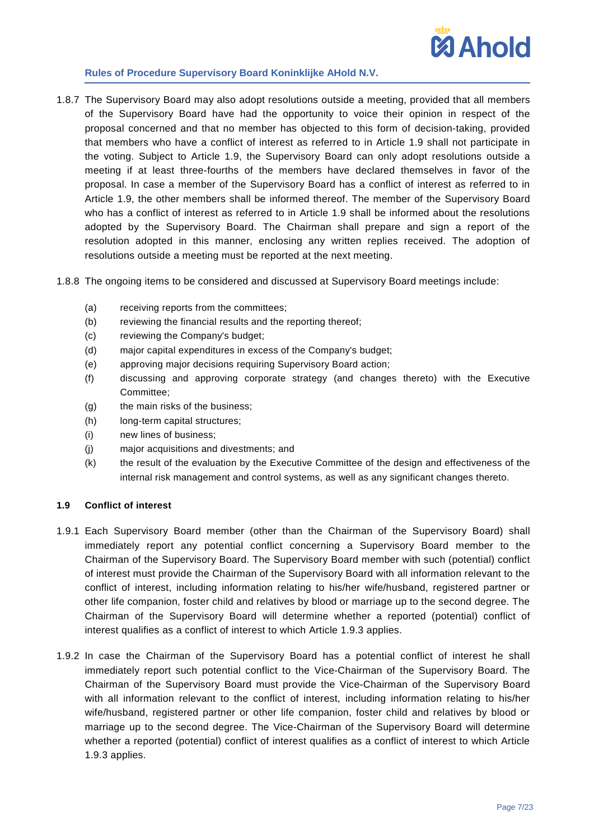

- 1.8.7 The Supervisory Board may also adopt resolutions outside a meeting, provided that all members of the Supervisory Board have had the opportunity to voice their opinion in respect of the proposal concerned and that no member has objected to this form of decision-taking, provided that members who have a conflict of interest as referred to in Article [1.9](#page-6-0) shall not participate in the voting. Subject to Article [1.9,](#page-6-0) the Supervisory Board can only adopt resolutions outside a meeting if at least three-fourths of the members have declared themselves in favor of the proposal. In case a member of the Supervisory Board has a conflict of interest as referred to in Article [1.9,](#page-6-0) the other members shall be informed thereof. The member of the Supervisory Board who has a conflict of interest as referred to in Article [1.9](#page-6-0) shall be informed about the resolutions adopted by the Supervisory Board. The Chairman shall prepare and sign a report of the resolution adopted in this manner, enclosing any written replies received. The adoption of resolutions outside a meeting must be reported at the next meeting.
- 1.8.8 The ongoing items to be considered and discussed at Supervisory Board meetings include:
	- (a) receiving reports from the committees;
	- (b) reviewing the financial results and the reporting thereof;
	- (c) reviewing the Company's budget;
	- (d) major capital expenditures in excess of the Company's budget;
	- (e) approving major decisions requiring Supervisory Board action;
	- (f) discussing and approving corporate strategy (and changes thereto) with the Executive Committee;
	- (g) the main risks of the business;
	- (h) long-term capital structures;
	- (i) new lines of business;
	- (j) major acquisitions and divestments; and
	- (k) the result of the evaluation by the Executive Committee of the design and effectiveness of the internal risk management and control systems, as well as any significant changes thereto.

### <span id="page-6-0"></span>**1.9 Conflict of interest**

- 1.9.1 Each Supervisory Board member (other than the Chairman of the Supervisory Board) shall immediately report any potential conflict concerning a Supervisory Board member to the Chairman of the Supervisory Board. The Supervisory Board member with such (potential) conflict of interest must provide the Chairman of the Supervisory Board with all information relevant to the conflict of interest, including information relating to his/her wife/husband, registered partner or other life companion, foster child and relatives by blood or marriage up to the second degree. The Chairman of the Supervisory Board will determine whether a reported (potential) conflict of interest qualifies as a conflict of interest to which Article [1.9.3](#page-7-1) applies.
- 1.9.2 In case the Chairman of the Supervisory Board has a potential conflict of interest he shall immediately report such potential conflict to the Vice-Chairman of the Supervisory Board. The Chairman of the Supervisory Board must provide the Vice-Chairman of the Supervisory Board with all information relevant to the conflict of interest, including information relating to his/her wife/husband, registered partner or other life companion, foster child and relatives by blood or marriage up to the second degree. The Vice-Chairman of the Supervisory Board will determine whether a reported (potential) conflict of interest qualifies as a conflict of interest to which Article [1.9.3](#page-7-1) applies.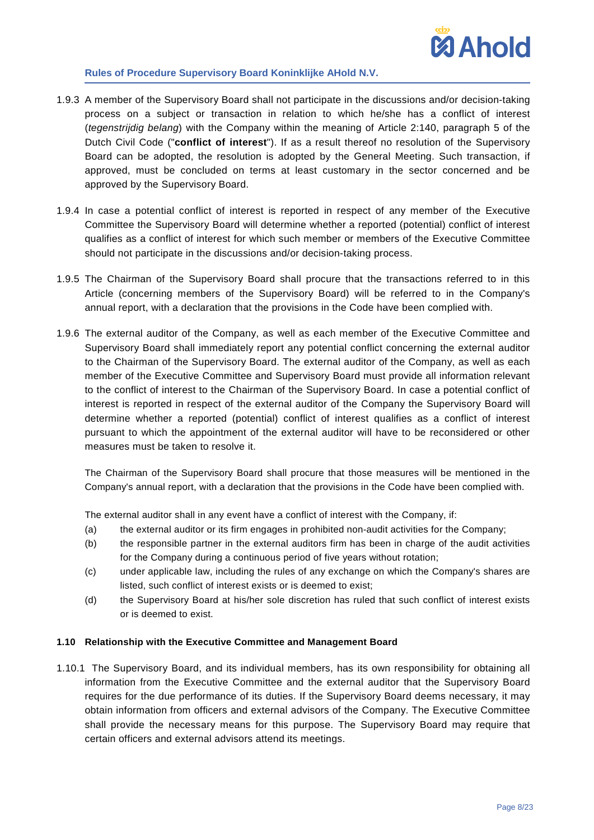

- <span id="page-7-1"></span>1.9.3 A member of the Supervisory Board shall not participate in the discussions and/or decision-taking process on a subject or transaction in relation to which he/she has a conflict of interest (*tegenstrijdig belang*) with the Company within the meaning of Article 2:140, paragraph 5 of the Dutch Civil Code ("**conflict of interest**"). If as a result thereof no resolution of the Supervisory Board can be adopted, the resolution is adopted by the General Meeting. Such transaction, if approved, must be concluded on terms at least customary in the sector concerned and be approved by the Supervisory Board.
- 1.9.4 In case a potential conflict of interest is reported in respect of any member of the Executive Committee the Supervisory Board will determine whether a reported (potential) conflict of interest qualifies as a conflict of interest for which such member or members of the Executive Committee should not participate in the discussions and/or decision-taking process.
- 1.9.5 The Chairman of the Supervisory Board shall procure that the transactions referred to in this Article (concerning members of the Supervisory Board) will be referred to in the Company's annual report, with a declaration that the provisions in the Code have been complied with.
- 1.9.6 The external auditor of the Company, as well as each member of the Executive Committee and Supervisory Board shall immediately report any potential conflict concerning the external auditor to the Chairman of the Supervisory Board. The external auditor of the Company, as well as each member of the Executive Committee and Supervisory Board must provide all information relevant to the conflict of interest to the Chairman of the Supervisory Board. In case a potential conflict of interest is reported in respect of the external auditor of the Company the Supervisory Board will determine whether a reported (potential) conflict of interest qualifies as a conflict of interest pursuant to which the appointment of the external auditor will have to be reconsidered or other measures must be taken to resolve it.

The Chairman of the Supervisory Board shall procure that those measures will be mentioned in the Company's annual report, with a declaration that the provisions in the Code have been complied with.

The external auditor shall in any event have a conflict of interest with the Company, if:

- (a) the external auditor or its firm engages in prohibited non-audit activities for the Company;
- (b) the responsible partner in the external auditors firm has been in charge of the audit activities for the Company during a continuous period of five years without rotation;
- (c) under applicable law, including the rules of any exchange on which the Company's shares are listed, such conflict of interest exists or is deemed to exist;
- (d) the Supervisory Board at his/her sole discretion has ruled that such conflict of interest exists or is deemed to exist.

### <span id="page-7-0"></span>**1.10 Relationship with the Executive Committee and Management Board**

1.10.1 The Supervisory Board, and its individual members, has its own responsibility for obtaining all information from the Executive Committee and the external auditor that the Supervisory Board requires for the due performance of its duties. If the Supervisory Board deems necessary, it may obtain information from officers and external advisors of the Company. The Executive Committee shall provide the necessary means for this purpose. The Supervisory Board may require that certain officers and external advisors attend its meetings.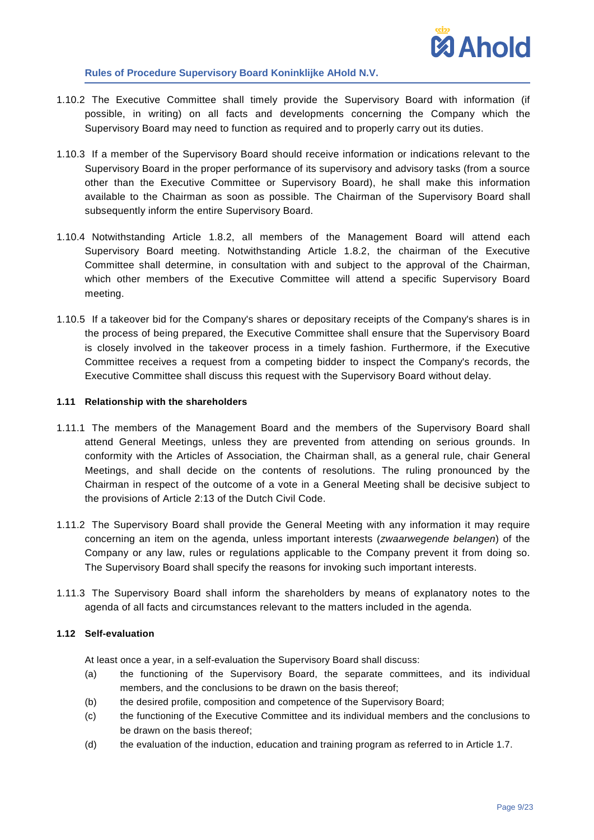

- 1.10.2 The Executive Committee shall timely provide the Supervisory Board with information (if possible, in writing) on all facts and developments concerning the Company which the Supervisory Board may need to function as required and to properly carry out its duties.
- 1.10.3 If a member of the Supervisory Board should receive information or indications relevant to the Supervisory Board in the proper performance of its supervisory and advisory tasks (from a source other than the Executive Committee or Supervisory Board), he shall make this information available to the Chairman as soon as possible. The Chairman of the Supervisory Board shall subsequently inform the entire Supervisory Board.
- 1.10.4 Notwithstanding Article [1.8.2,](#page-5-2) all members of the Management Board will attend each Supervisory Board meeting. Notwithstanding Article [1.8.2,](#page-5-2) the chairman of the Executive Committee shall determine, in consultation with and subject to the approval of the Chairman, which other members of the Executive Committee will attend a specific Supervisory Board meeting.
- 1.10.5 If a takeover bid for the Company's shares or depositary receipts of the Company's shares is in the process of being prepared, the Executive Committee shall ensure that the Supervisory Board is closely involved in the takeover process in a timely fashion. Furthermore, if the Executive Committee receives a request from a competing bidder to inspect the Company's records, the Executive Committee shall discuss this request with the Supervisory Board without delay.

### **1.11 Relationship with the shareholders**

- 1.11.1 The members of the Management Board and the members of the Supervisory Board shall attend General Meetings, unless they are prevented from attending on serious grounds. In conformity with the Articles of Association, the Chairman shall, as a general rule, chair General Meetings, and shall decide on the contents of resolutions. The ruling pronounced by the Chairman in respect of the outcome of a vote in a General Meeting shall be decisive subject to the provisions of Article 2:13 of the Dutch Civil Code.
- 1.11.2 The Supervisory Board shall provide the General Meeting with any information it may require concerning an item on the agenda, unless important interests (*zwaarwegende belangen*) of the Company or any law, rules or regulations applicable to the Company prevent it from doing so. The Supervisory Board shall specify the reasons for invoking such important interests.
- 1.11.3 The Supervisory Board shall inform the shareholders by means of explanatory notes to the agenda of all facts and circumstances relevant to the matters included in the agenda.

### **1.12 Self-evaluation**

At least once a year, in a self-evaluation the Supervisory Board shall discuss:

- (a) the functioning of the Supervisory Board, the separate committees, and its individual members, and the conclusions to be drawn on the basis thereof;
- (b) the desired profile, composition and competence of the Supervisory Board;
- (c) the functioning of the Executive Committee and its individual members and the conclusions to be drawn on the basis thereof;
- (d) the evaluation of the induction, education and training program as referred to in Article [1.7.](#page-4-0)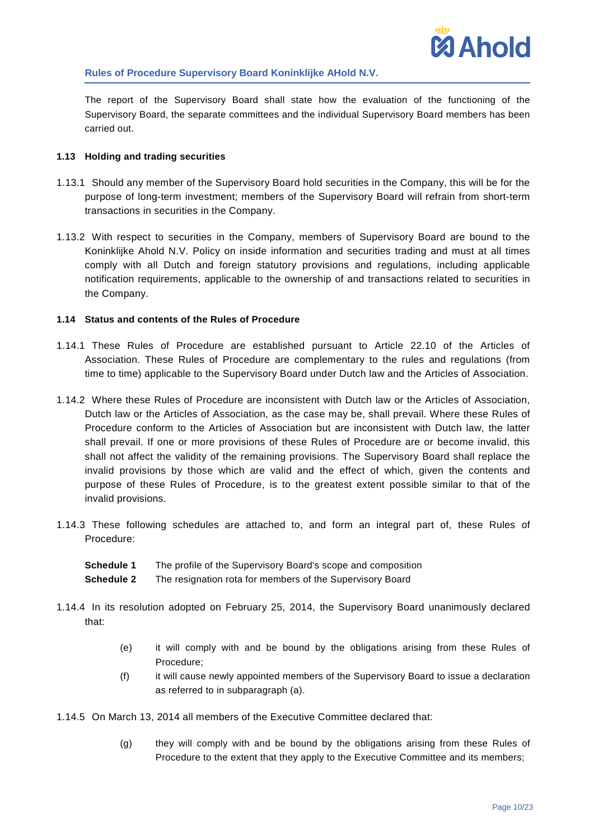

The report of the Supervisory Board shall state how the evaluation of the functioning of the Supervisory Board, the separate committees and the individual Supervisory Board members has been carried out.

### **1.13 Holding and trading securities**

- 1.13.1 Should any member of the Supervisory Board hold securities in the Company, this will be for the purpose of long-term investment; members of the Supervisory Board will refrain from short-term transactions in securities in the Company.
- 1.13.2 With respect to securities in the Company, members of Supervisory Board are bound to the Koninklijke Ahold N.V. Policy on inside information and securities trading and must at all times comply with all Dutch and foreign statutory provisions and regulations, including applicable notification requirements, applicable to the ownership of and transactions related to securities in the Company.

### **1.14 Status and contents of the Rules of Procedure**

- 1.14.1 These Rules of Procedure are established pursuant to Article 22.10 of the Articles of Association. These Rules of Procedure are complementary to the rules and regulations (from time to time) applicable to the Supervisory Board under Dutch law and the Articles of Association.
- <span id="page-9-1"></span>1.14.2 Where these Rules of Procedure are inconsistent with Dutch law or the Articles of Association, Dutch law or the Articles of Association, as the case may be, shall prevail. Where these Rules of Procedure conform to the Articles of Association but are inconsistent with Dutch law, the latter shall prevail. If one or more provisions of these Rules of Procedure are or become invalid, this shall not affect the validity of the remaining provisions. The Supervisory Board shall replace the invalid provisions by those which are valid and the effect of which, given the contents and purpose of these Rules of Procedure, is to the greatest extent possible similar to that of the invalid provisions.
- 1.14.3 These following schedules are attached to, and form an integral part of, these Rules of Procedure:

| Schedule 1 | The profile of the Supervisory Board's scope and composition |
|------------|--------------------------------------------------------------|
| Schedule 2 | The resignation rota for members of the Supervisory Board    |

- <span id="page-9-0"></span>1.14.4 In its resolution adopted on February 25, 2014, the Supervisory Board unanimously declared that:
	- (e) it will comply with and be bound by the obligations arising from these Rules of Procedure;
	- (f) it will cause newly appointed members of the Supervisory Board to issue a declaration as referred to in subparagraph [\(a\).](#page-9-0)

1.14.5 On March 13, 2014 all members of the Executive Committee declared that:

(g) they will comply with and be bound by the obligations arising from these Rules of Procedure to the extent that they apply to the Executive Committee and its members;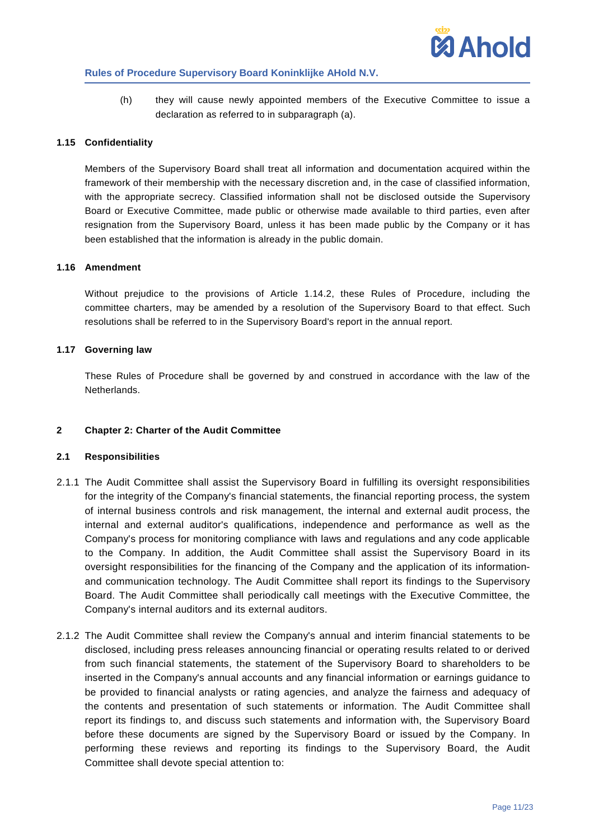

(h) they will cause newly appointed members of the Executive Committee to issue a declaration as referred to in subparagraph [\(a\).](#page-9-0)

### **1.15 Confidentiality**

Members of the Supervisory Board shall treat all information and documentation acquired within the framework of their membership with the necessary discretion and, in the case of classified information, with the appropriate secrecy. Classified information shall not be disclosed outside the Supervisory Board or Executive Committee, made public or otherwise made available to third parties, even after resignation from the Supervisory Board, unless it has been made public by the Company or it has been established that the information is already in the public domain.

### **1.16 Amendment**

Without prejudice to the provisions of Article [1.14.2,](#page-9-1) these Rules of Procedure, including the committee charters, may be amended by a resolution of the Supervisory Board to that effect. Such resolutions shall be referred to in the Supervisory Board's report in the annual report.

### **1.17 Governing law**

These Rules of Procedure shall be governed by and construed in accordance with the law of the **Netherlands** 

### <span id="page-10-0"></span>**2 Chapter 2: Charter of the Audit Committee**

### **2.1 Responsibilities**

- 2.1.1 The Audit Committee shall assist the Supervisory Board in fulfilling its oversight responsibilities for the integrity of the Company's financial statements, the financial reporting process, the system of internal business controls and risk management, the internal and external audit process, the internal and external auditor's qualifications, independence and performance as well as the Company's process for monitoring compliance with laws and regulations and any code applicable to the Company. In addition, the Audit Committee shall assist the Supervisory Board in its oversight responsibilities for the financing of the Company and the application of its informationand communication technology. The Audit Committee shall report its findings to the Supervisory Board. The Audit Committee shall periodically call meetings with the Executive Committee, the Company's internal auditors and its external auditors.
- 2.1.2 The Audit Committee shall review the Company's annual and interim financial statements to be disclosed, including press releases announcing financial or operating results related to or derived from such financial statements, the statement of the Supervisory Board to shareholders to be inserted in the Company's annual accounts and any financial information or earnings guidance to be provided to financial analysts or rating agencies, and analyze the fairness and adequacy of the contents and presentation of such statements or information. The Audit Committee shall report its findings to, and discuss such statements and information with, the Supervisory Board before these documents are signed by the Supervisory Board or issued by the Company. In performing these reviews and reporting its findings to the Supervisory Board, the Audit Committee shall devote special attention to: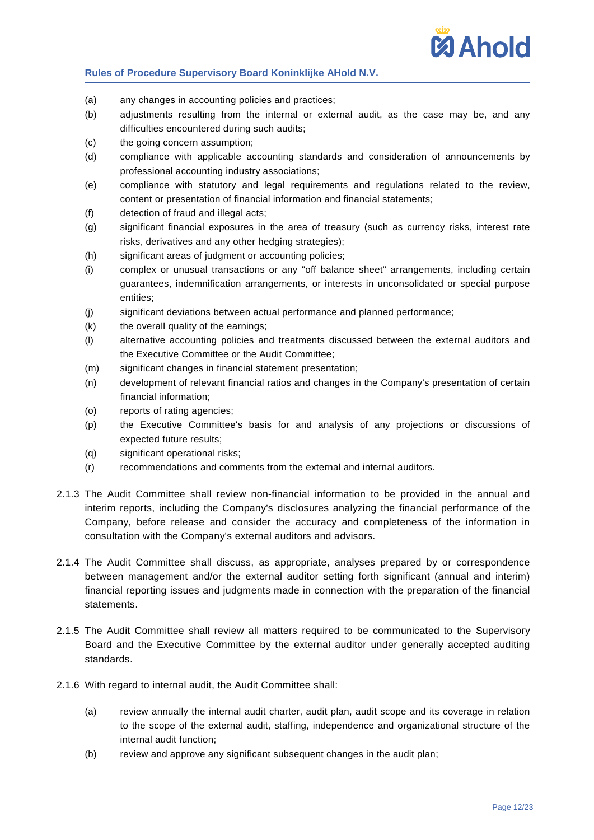

- (a) any changes in accounting policies and practices;
- (b) adjustments resulting from the internal or external audit, as the case may be, and any difficulties encountered during such audits;
- (c) the going concern assumption;
- (d) compliance with applicable accounting standards and consideration of announcements by professional accounting industry associations;
- (e) compliance with statutory and legal requirements and regulations related to the review, content or presentation of financial information and financial statements;
- (f) detection of fraud and illegal acts;
- (g) significant financial exposures in the area of treasury (such as currency risks, interest rate risks, derivatives and any other hedging strategies);
- (h) significant areas of judgment or accounting policies;
- (i) complex or unusual transactions or any "off balance sheet" arrangements, including certain guarantees, indemnification arrangements, or interests in unconsolidated or special purpose entities;
- (j) significant deviations between actual performance and planned performance;
- (k) the overall quality of the earnings;
- (l) alternative accounting policies and treatments discussed between the external auditors and the Executive Committee or the Audit Committee;
- (m) significant changes in financial statement presentation;
- (n) development of relevant financial ratios and changes in the Company's presentation of certain financial information;
- (o) reports of rating agencies;
- (p) the Executive Committee's basis for and analysis of any projections or discussions of expected future results;
- (q) significant operational risks;
- (r) recommendations and comments from the external and internal auditors.
- 2.1.3 The Audit Committee shall review non-financial information to be provided in the annual and interim reports, including the Company's disclosures analyzing the financial performance of the Company, before release and consider the accuracy and completeness of the information in consultation with the Company's external auditors and advisors.
- 2.1.4 The Audit Committee shall discuss, as appropriate, analyses prepared by or correspondence between management and/or the external auditor setting forth significant (annual and interim) financial reporting issues and judgments made in connection with the preparation of the financial statements.
- 2.1.5 The Audit Committee shall review all matters required to be communicated to the Supervisory Board and the Executive Committee by the external auditor under generally accepted auditing standards.
- 2.1.6 With regard to internal audit, the Audit Committee shall:
	- (a) review annually the internal audit charter, audit plan, audit scope and its coverage in relation to the scope of the external audit, staffing, independence and organizational structure of the internal audit function;
	- (b) review and approve any significant subsequent changes in the audit plan;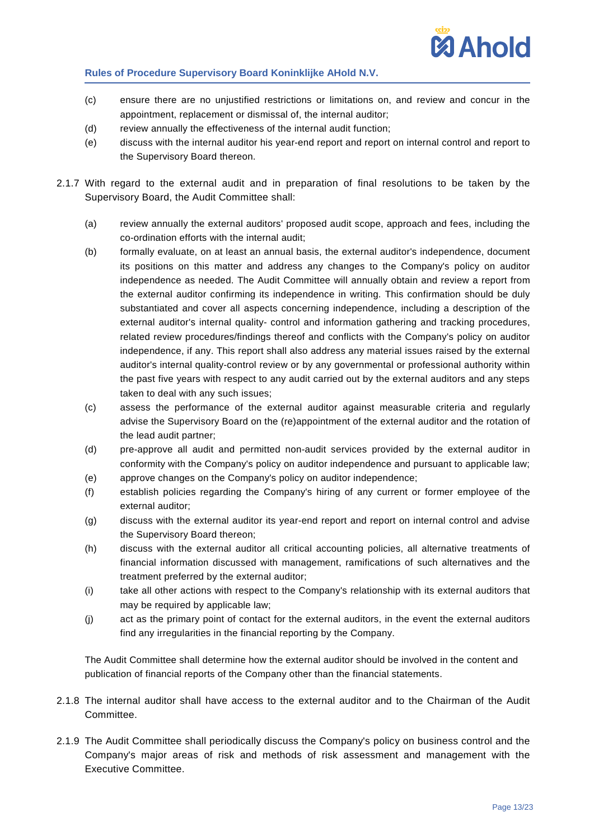

- (c) ensure there are no unjustified restrictions or limitations on, and review and concur in the appointment, replacement or dismissal of, the internal auditor;
- (d) review annually the effectiveness of the internal audit function;
- (e) discuss with the internal auditor his year-end report and report on internal control and report to the Supervisory Board thereon.
- 2.1.7 With regard to the external audit and in preparation of final resolutions to be taken by the Supervisory Board, the Audit Committee shall:
	- (a) review annually the external auditors' proposed audit scope, approach and fees, including the co-ordination efforts with the internal audit;
	- (b) formally evaluate, on at least an annual basis, the external auditor's independence, document its positions on this matter and address any changes to the Company's policy on auditor independence as needed. The Audit Committee will annually obtain and review a report from the external auditor confirming its independence in writing. This confirmation should be duly substantiated and cover all aspects concerning independence, including a description of the external auditor's internal quality- control and information gathering and tracking procedures, related review procedures/findings thereof and conflicts with the Company's policy on auditor independence, if any. This report shall also address any material issues raised by the external auditor's internal quality-control review or by any governmental or professional authority within the past five years with respect to any audit carried out by the external auditors and any steps taken to deal with any such issues;
	- (c) assess the performance of the external auditor against measurable criteria and regularly advise the Supervisory Board on the (re)appointment of the external auditor and the rotation of the lead audit partner;
	- (d) pre-approve all audit and permitted non-audit services provided by the external auditor in conformity with the Company's policy on auditor independence and pursuant to applicable law;
	- (e) approve changes on the Company's policy on auditor independence;
	- (f) establish policies regarding the Company's hiring of any current or former employee of the external auditor;
	- (g) discuss with the external auditor its year-end report and report on internal control and advise the Supervisory Board thereon;
	- (h) discuss with the external auditor all critical accounting policies, all alternative treatments of financial information discussed with management, ramifications of such alternatives and the treatment preferred by the external auditor;
	- (i) take all other actions with respect to the Company's relationship with its external auditors that may be required by applicable law;
	- (j) act as the primary point of contact for the external auditors, in the event the external auditors find any irregularities in the financial reporting by the Company.

The Audit Committee shall determine how the external auditor should be involved in the content and publication of financial reports of the Company other than the financial statements.

- 2.1.8 The internal auditor shall have access to the external auditor and to the Chairman of the Audit Committee.
- 2.1.9 The Audit Committee shall periodically discuss the Company's policy on business control and the Company's major areas of risk and methods of risk assessment and management with the Executive Committee.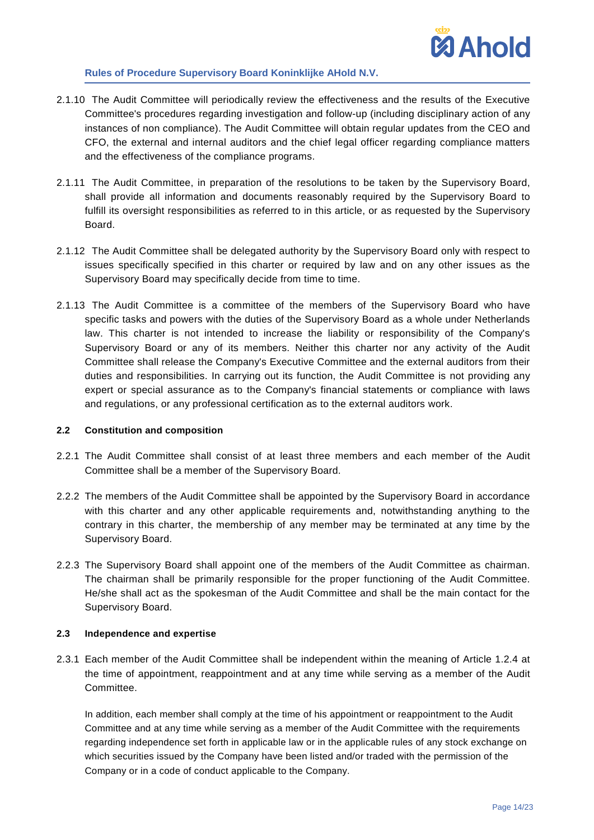

- 2.1.10 The Audit Committee will periodically review the effectiveness and the results of the Executive Committee's procedures regarding investigation and follow-up (including disciplinary action of any instances of non compliance). The Audit Committee will obtain regular updates from the CEO and CFO, the external and internal auditors and the chief legal officer regarding compliance matters and the effectiveness of the compliance programs.
- 2.1.11 The Audit Committee, in preparation of the resolutions to be taken by the Supervisory Board, shall provide all information and documents reasonably required by the Supervisory Board to fulfill its oversight responsibilities as referred to in this article, or as requested by the Supervisory Board.
- 2.1.12 The Audit Committee shall be delegated authority by the Supervisory Board only with respect to issues specifically specified in this charter or required by law and on any other issues as the Supervisory Board may specifically decide from time to time.
- 2.1.13 The Audit Committee is a committee of the members of the Supervisory Board who have specific tasks and powers with the duties of the Supervisory Board as a whole under Netherlands law. This charter is not intended to increase the liability or responsibility of the Company's Supervisory Board or any of its members. Neither this charter nor any activity of the Audit Committee shall release the Company's Executive Committee and the external auditors from their duties and responsibilities. In carrying out its function, the Audit Committee is not providing any expert or special assurance as to the Company's financial statements or compliance with laws and regulations, or any professional certification as to the external auditors work.

### **2.2 Constitution and composition**

- 2.2.1 The Audit Committee shall consist of at least three members and each member of the Audit Committee shall be a member of the Supervisory Board.
- 2.2.2 The members of the Audit Committee shall be appointed by the Supervisory Board in accordance with this charter and any other applicable requirements and, notwithstanding anything to the contrary in this charter, the membership of any member may be terminated at any time by the Supervisory Board.
- 2.2.3 The Supervisory Board shall appoint one of the members of the Audit Committee as chairman. The chairman shall be primarily responsible for the proper functioning of the Audit Committee. He/she shall act as the spokesman of the Audit Committee and shall be the main contact for the Supervisory Board.

# **2.3 Independence and expertise**

<span id="page-13-0"></span>2.3.1 Each member of the Audit Committee shall be independent within the meaning of Article [1.2.4](#page-1-2) at the time of appointment, reappointment and at any time while serving as a member of the Audit Committee.

In addition, each member shall comply at the time of his appointment or reappointment to the Audit Committee and at any time while serving as a member of the Audit Committee with the requirements regarding independence set forth in applicable law or in the applicable rules of any stock exchange on which securities issued by the Company have been listed and/or traded with the permission of the Company or in a code of conduct applicable to the Company.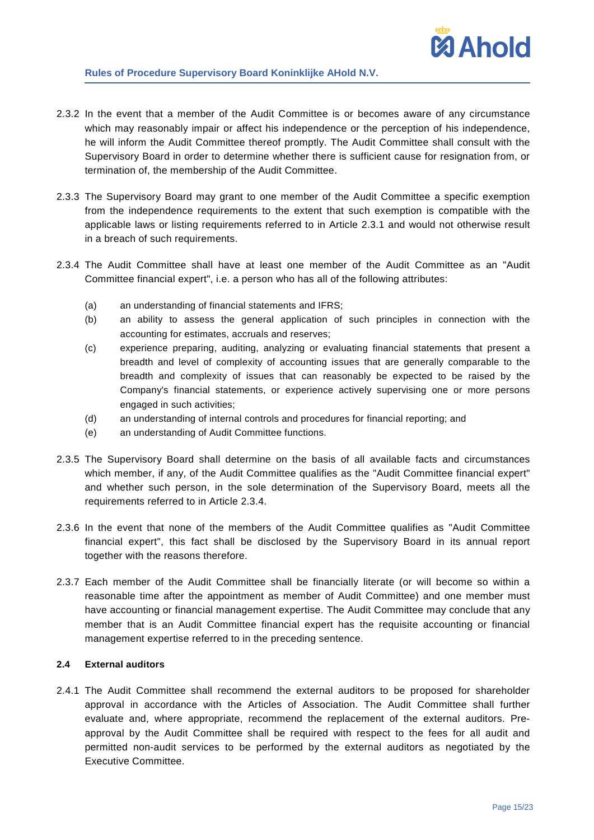- 2.3.2 In the event that a member of the Audit Committee is or becomes aware of any circumstance which may reasonably impair or affect his independence or the perception of his independence, he will inform the Audit Committee thereof promptly. The Audit Committee shall consult with the Supervisory Board in order to determine whether there is sufficient cause for resignation from, or termination of, the membership of the Audit Committee.
- 2.3.3 The Supervisory Board may grant to one member of the Audit Committee a specific exemption from the independence requirements to the extent that such exemption is compatible with the applicable laws or listing requirements referred to in Article [2.3.1](#page-13-0) and would not otherwise result in a breach of such requirements.
- <span id="page-14-0"></span>2.3.4 The Audit Committee shall have at least one member of the Audit Committee as an "Audit Committee financial expert", i.e. a person who has all of the following attributes:
	- (a) an understanding of financial statements and IFRS;
	- (b) an ability to assess the general application of such principles in connection with the accounting for estimates, accruals and reserves;
	- (c) experience preparing, auditing, analyzing or evaluating financial statements that present a breadth and level of complexity of accounting issues that are generally comparable to the breadth and complexity of issues that can reasonably be expected to be raised by the Company's financial statements, or experience actively supervising one or more persons engaged in such activities;
	- (d) an understanding of internal controls and procedures for financial reporting; and
	- (e) an understanding of Audit Committee functions.
- 2.3.5 The Supervisory Board shall determine on the basis of all available facts and circumstances which member, if any, of the Audit Committee qualifies as the "Audit Committee financial expert" and whether such person, in the sole determination of the Supervisory Board, meets all the requirements referred to in Article [2.3.4.](#page-14-0)
- 2.3.6 In the event that none of the members of the Audit Committee qualifies as "Audit Committee financial expert", this fact shall be disclosed by the Supervisory Board in its annual report together with the reasons therefore.
- 2.3.7 Each member of the Audit Committee shall be financially literate (or will become so within a reasonable time after the appointment as member of Audit Committee) and one member must have accounting or financial management expertise. The Audit Committee may conclude that any member that is an Audit Committee financial expert has the requisite accounting or financial management expertise referred to in the preceding sentence.

### **2.4 External auditors**

2.4.1 The Audit Committee shall recommend the external auditors to be proposed for shareholder approval in accordance with the Articles of Association. The Audit Committee shall further evaluate and, where appropriate, recommend the replacement of the external auditors. Preapproval by the Audit Committee shall be required with respect to the fees for all audit and permitted non-audit services to be performed by the external auditors as negotiated by the Executive Committee.

**MAhold**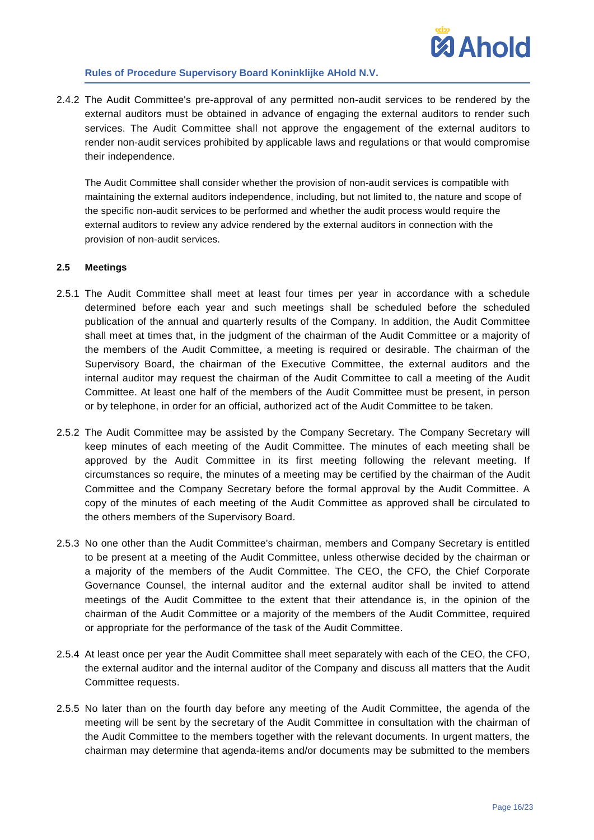2.4.2 The Audit Committee's pre-approval of any permitted non-audit services to be rendered by the external auditors must be obtained in advance of engaging the external auditors to render such services. The Audit Committee shall not approve the engagement of the external auditors to render non-audit services prohibited by applicable laws and regulations or that would compromise their independence.

The Audit Committee shall consider whether the provision of non-audit services is compatible with maintaining the external auditors independence, including, but not limited to, the nature and scope of the specific non-audit services to be performed and whether the audit process would require the external auditors to review any advice rendered by the external auditors in connection with the provision of non-audit services.

# **2.5 Meetings**

- 2.5.1 The Audit Committee shall meet at least four times per year in accordance with a schedule determined before each year and such meetings shall be scheduled before the scheduled publication of the annual and quarterly results of the Company. In addition, the Audit Committee shall meet at times that, in the judgment of the chairman of the Audit Committee or a majority of the members of the Audit Committee, a meeting is required or desirable. The chairman of the Supervisory Board, the chairman of the Executive Committee, the external auditors and the internal auditor may request the chairman of the Audit Committee to call a meeting of the Audit Committee. At least one half of the members of the Audit Committee must be present, in person or by telephone, in order for an official, authorized act of the Audit Committee to be taken.
- 2.5.2 The Audit Committee may be assisted by the Company Secretary. The Company Secretary will keep minutes of each meeting of the Audit Committee. The minutes of each meeting shall be approved by the Audit Committee in its first meeting following the relevant meeting. If circumstances so require, the minutes of a meeting may be certified by the chairman of the Audit Committee and the Company Secretary before the formal approval by the Audit Committee. A copy of the minutes of each meeting of the Audit Committee as approved shall be circulated to the others members of the Supervisory Board.
- 2.5.3 No one other than the Audit Committee's chairman, members and Company Secretary is entitled to be present at a meeting of the Audit Committee, unless otherwise decided by the chairman or a majority of the members of the Audit Committee. The CEO, the CFO, the Chief Corporate Governance Counsel, the internal auditor and the external auditor shall be invited to attend meetings of the Audit Committee to the extent that their attendance is, in the opinion of the chairman of the Audit Committee or a majority of the members of the Audit Committee, required or appropriate for the performance of the task of the Audit Committee.
- 2.5.4 At least once per year the Audit Committee shall meet separately with each of the CEO, the CFO, the external auditor and the internal auditor of the Company and discuss all matters that the Audit Committee requests.
- 2.5.5 No later than on the fourth day before any meeting of the Audit Committee, the agenda of the meeting will be sent by the secretary of the Audit Committee in consultation with the chairman of the Audit Committee to the members together with the relevant documents. In urgent matters, the chairman may determine that agenda-items and/or documents may be submitted to the members

**Mahold**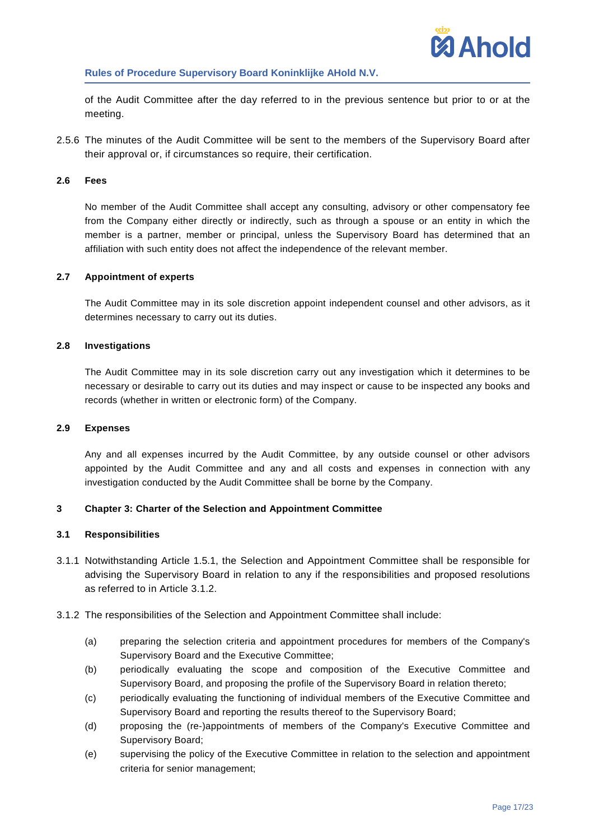

of the Audit Committee after the day referred to in the previous sentence but prior to or at the meeting.

2.5.6 The minutes of the Audit Committee will be sent to the members of the Supervisory Board after their approval or, if circumstances so require, their certification.

### **2.6 Fees**

No member of the Audit Committee shall accept any consulting, advisory or other compensatory fee from the Company either directly or indirectly, such as through a spouse or an entity in which the member is a partner, member or principal, unless the Supervisory Board has determined that an affiliation with such entity does not affect the independence of the relevant member.

#### **2.7 Appointment of experts**

The Audit Committee may in its sole discretion appoint independent counsel and other advisors, as it determines necessary to carry out its duties.

#### **2.8 Investigations**

The Audit Committee may in its sole discretion carry out any investigation which it determines to be necessary or desirable to carry out its duties and may inspect or cause to be inspected any books and records (whether in written or electronic form) of the Company.

#### **2.9 Expenses**

Any and all expenses incurred by the Audit Committee, by any outside counsel or other advisors appointed by the Audit Committee and any and all costs and expenses in connection with any investigation conducted by the Audit Committee shall be borne by the Company.

### <span id="page-16-0"></span>**3 Chapter 3: Charter of the Selection and Appointment Committee**

#### **3.1 Responsibilities**

- 3.1.1 Notwithstanding Article [1.5.1,](#page-4-1) the Selection and Appointment Committee shall be responsible for advising the Supervisory Board in relation to any if the responsibilities and proposed resolutions as referred to in Article [3.1.2.](#page-16-1)
- <span id="page-16-1"></span>3.1.2 The responsibilities of the Selection and Appointment Committee shall include:
	- (a) preparing the selection criteria and appointment procedures for members of the Company's Supervisory Board and the Executive Committee;
	- (b) periodically evaluating the scope and composition of the Executive Committee and Supervisory Board, and proposing the profile of the Supervisory Board in relation thereto;
	- (c) periodically evaluating the functioning of individual members of the Executive Committee and Supervisory Board and reporting the results thereof to the Supervisory Board;
	- (d) proposing the (re-)appointments of members of the Company's Executive Committee and Supervisory Board;
	- (e) supervising the policy of the Executive Committee in relation to the selection and appointment criteria for senior management;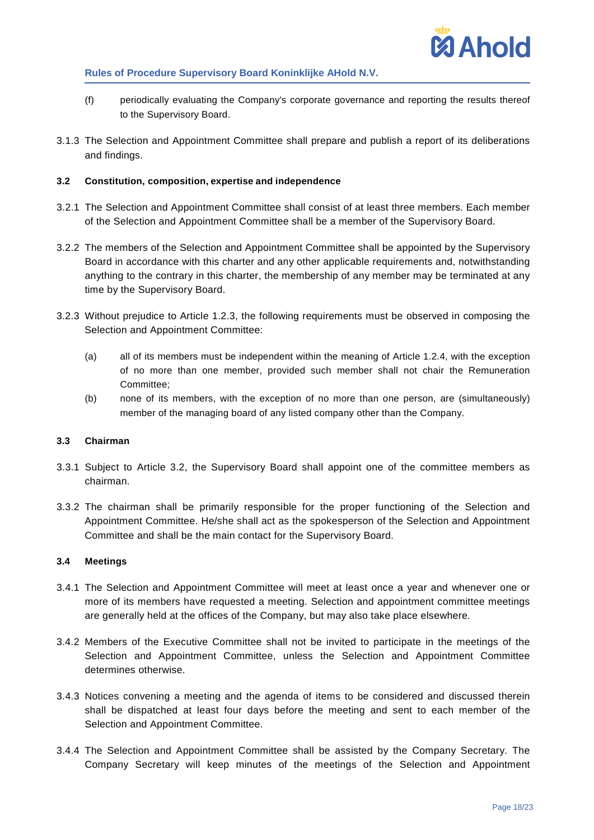

- (f) periodically evaluating the Company's corporate governance and reporting the results thereof to the Supervisory Board.
- 3.1.3 The Selection and Appointment Committee shall prepare and publish a report of its deliberations and findings.

### <span id="page-17-0"></span>**3.2 Constitution, composition, expertise and independence**

- 3.2.1 The Selection and Appointment Committee shall consist of at least three members. Each member of the Selection and Appointment Committee shall be a member of the Supervisory Board.
- 3.2.2 The members of the Selection and Appointment Committee shall be appointed by the Supervisory Board in accordance with this charter and any other applicable requirements and, notwithstanding anything to the contrary in this charter, the membership of any member may be terminated at any time by the Supervisory Board.
- 3.2.3 Without prejudice to Article [1.2.3,](#page-1-1) the following requirements must be observed in composing the Selection and Appointment Committee:
	- (a) all of its members must be independent within the meaning of Article [1.2.4,](#page-1-2) with the exception of no more than one member, provided such member shall not chair the Remuneration Committee;
	- (b) none of its members, with the exception of no more than one person, are (simultaneously) member of the managing board of any listed company other than the Company.

### **3.3 Chairman**

- 3.3.1 Subject to Article [3.2,](#page-17-0) the Supervisory Board shall appoint one of the committee members as chairman.
- 3.3.2 The chairman shall be primarily responsible for the proper functioning of the Selection and Appointment Committee. He/she shall act as the spokesperson of the Selection and Appointment Committee and shall be the main contact for the Supervisory Board.

### **3.4 Meetings**

- 3.4.1 The Selection and Appointment Committee will meet at least once a year and whenever one or more of its members have requested a meeting. Selection and appointment committee meetings are generally held at the offices of the Company, but may also take place elsewhere.
- 3.4.2 Members of the Executive Committee shall not be invited to participate in the meetings of the Selection and Appointment Committee, unless the Selection and Appointment Committee determines otherwise.
- 3.4.3 Notices convening a meeting and the agenda of items to be considered and discussed therein shall be dispatched at least four days before the meeting and sent to each member of the Selection and Appointment Committee.
- 3.4.4 The Selection and Appointment Committee shall be assisted by the Company Secretary. The Company Secretary will keep minutes of the meetings of the Selection and Appointment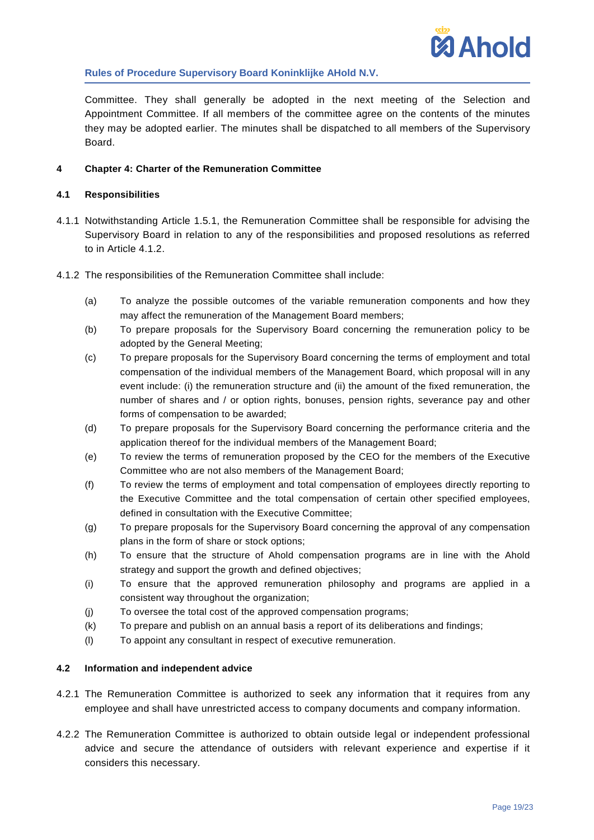

Committee. They shall generally be adopted in the next meeting of the Selection and Appointment Committee. If all members of the committee agree on the contents of the minutes they may be adopted earlier. The minutes shall be dispatched to all members of the Supervisory Board.

# <span id="page-18-0"></span>**4 Chapter 4: Charter of the Remuneration Committee**

### **4.1 Responsibilities**

- 4.1.1 Notwithstanding Article [1.5.1,](#page-4-1) the Remuneration Committee shall be responsible for advising the Supervisory Board in relation to any of the responsibilities and proposed resolutions as referred to in Article [4.1.2.](#page-18-1)
- <span id="page-18-1"></span>4.1.2 The responsibilities of the Remuneration Committee shall include:
	- (a) To analyze the possible outcomes of the variable remuneration components and how they may affect the remuneration of the Management Board members;
	- (b) To prepare proposals for the Supervisory Board concerning the remuneration policy to be adopted by the General Meeting;
	- (c) To prepare proposals for the Supervisory Board concerning the terms of employment and total compensation of the individual members of the Management Board, which proposal will in any event include: (i) the remuneration structure and (ii) the amount of the fixed remuneration, the number of shares and / or option rights, bonuses, pension rights, severance pay and other forms of compensation to be awarded;
	- (d) To prepare proposals for the Supervisory Board concerning the performance criteria and the application thereof for the individual members of the Management Board;
	- (e) To review the terms of remuneration proposed by the CEO for the members of the Executive Committee who are not also members of the Management Board;
	- (f) To review the terms of employment and total compensation of employees directly reporting to the Executive Committee and the total compensation of certain other specified employees, defined in consultation with the Executive Committee;
	- (g) To prepare proposals for the Supervisory Board concerning the approval of any compensation plans in the form of share or stock options;
	- (h) To ensure that the structure of Ahold compensation programs are in line with the Ahold strategy and support the growth and defined objectives;
	- (i) To ensure that the approved remuneration philosophy and programs are applied in a consistent way throughout the organization;
	- (j) To oversee the total cost of the approved compensation programs;
	- (k) To prepare and publish on an annual basis a report of its deliberations and findings;
	- (l) To appoint any consultant in respect of executive remuneration.

### **4.2 Information and independent advice**

- 4.2.1 The Remuneration Committee is authorized to seek any information that it requires from any employee and shall have unrestricted access to company documents and company information.
- 4.2.2 The Remuneration Committee is authorized to obtain outside legal or independent professional advice and secure the attendance of outsiders with relevant experience and expertise if it considers this necessary.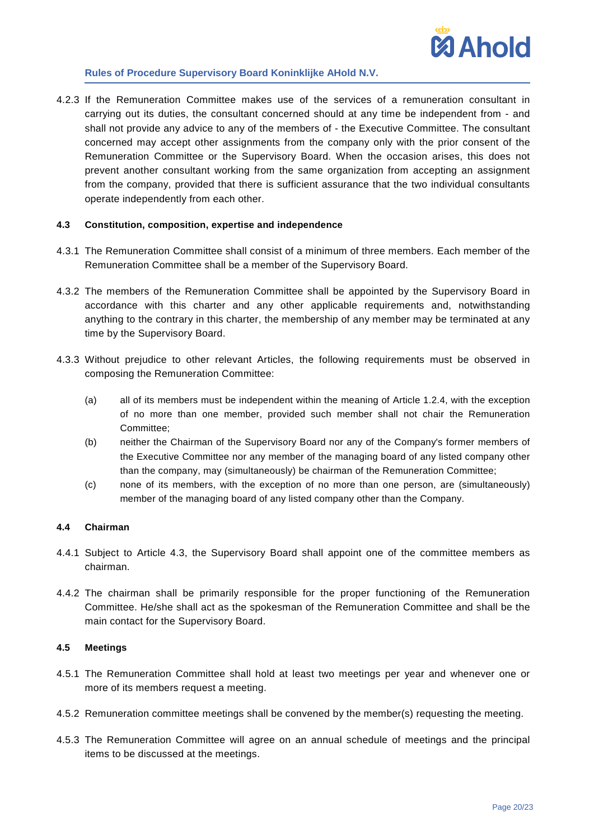

4.2.3 If the Remuneration Committee makes use of the services of a remuneration consultant in carrying out its duties, the consultant concerned should at any time be independent from - and shall not provide any advice to any of the members of - the Executive Committee. The consultant concerned may accept other assignments from the company only with the prior consent of the Remuneration Committee or the Supervisory Board. When the occasion arises, this does not prevent another consultant working from the same organization from accepting an assignment from the company, provided that there is sufficient assurance that the two individual consultants operate independently from each other.

### <span id="page-19-0"></span>**4.3 Constitution, composition, expertise and independence**

- 4.3.1 The Remuneration Committee shall consist of a minimum of three members. Each member of the Remuneration Committee shall be a member of the Supervisory Board.
- 4.3.2 The members of the Remuneration Committee shall be appointed by the Supervisory Board in accordance with this charter and any other applicable requirements and, notwithstanding anything to the contrary in this charter, the membership of any member may be terminated at any time by the Supervisory Board.
- 4.3.3 Without prejudice to other relevant Articles, the following requirements must be observed in composing the Remuneration Committee:
	- (a) all of its members must be independent within the meaning of Article [1.2.4,](#page-1-2) with the exception of no more than one member, provided such member shall not chair the Remuneration Committee;
	- (b) neither the Chairman of the Supervisory Board nor any of the Company's former members of the Executive Committee nor any member of the managing board of any listed company other than the company, may (simultaneously) be chairman of the Remuneration Committee;
	- (c) none of its members, with the exception of no more than one person, are (simultaneously) member of the managing board of any listed company other than the Company.

### **4.4 Chairman**

- 4.4.1 Subject to Article [4.3,](#page-19-0) the Supervisory Board shall appoint one of the committee members as chairman.
- 4.4.2 The chairman shall be primarily responsible for the proper functioning of the Remuneration Committee. He/she shall act as the spokesman of the Remuneration Committee and shall be the main contact for the Supervisory Board.

### **4.5 Meetings**

- 4.5.1 The Remuneration Committee shall hold at least two meetings per year and whenever one or more of its members request a meeting.
- 4.5.2 Remuneration committee meetings shall be convened by the member(s) requesting the meeting.
- 4.5.3 The Remuneration Committee will agree on an annual schedule of meetings and the principal items to be discussed at the meetings.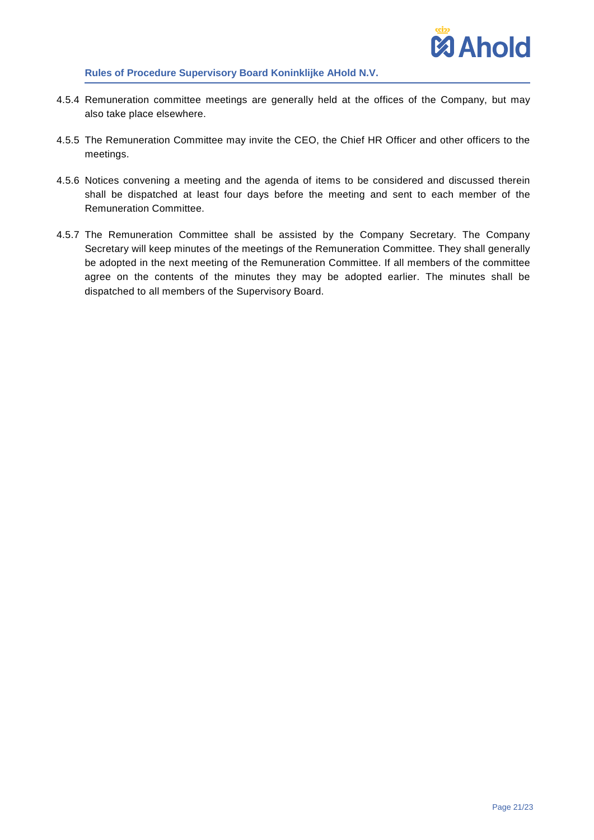

- 4.5.4 Remuneration committee meetings are generally held at the offices of the Company, but may also take place elsewhere.
- 4.5.5 The Remuneration Committee may invite the CEO, the Chief HR Officer and other officers to the meetings.
- 4.5.6 Notices convening a meeting and the agenda of items to be considered and discussed therein shall be dispatched at least four days before the meeting and sent to each member of the Remuneration Committee.
- 4.5.7 The Remuneration Committee shall be assisted by the Company Secretary. The Company Secretary will keep minutes of the meetings of the Remuneration Committee. They shall generally be adopted in the next meeting of the Remuneration Committee. If all members of the committee agree on the contents of the minutes they may be adopted earlier. The minutes shall be dispatched to all members of the Supervisory Board.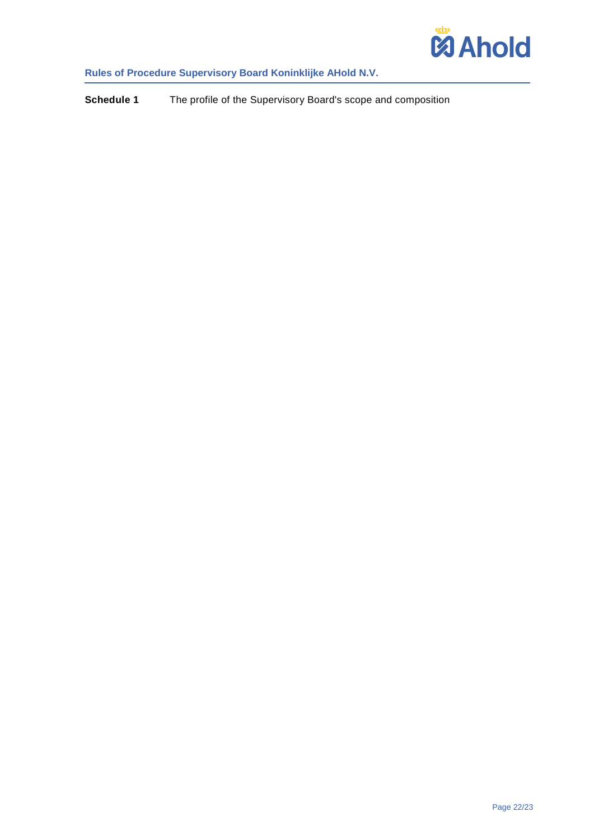

<span id="page-21-0"></span>**Schedule 1** The profile of the Supervisory Board's scope and composition